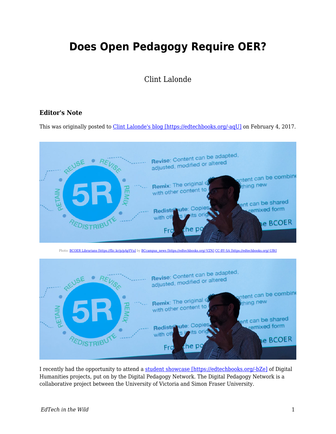## **Does Open Pedagogy Require OER?**

## Clint Lalonde

## **Editor's Note**

This was originally posted to *Clint Lalonde's blog [https://edtechbooks.org/-aqU]* on February 4, 2017.



Photo: [BCOER Librarians \[https://flic.kr/p/pApYVu\]](https://flic.kr/p/pApYVu) by [BCcampus\\_news \[https://edtechbooks.org/-VZN\]](https://www.flickr.com/photos/61642799@N03/) [CC-BY-SA \[https://edtechbooks.org/-UBt\]](https://creativecommons.org/licenses/by-sa/2.0/)



I recently had the opportunity to attend a [student showcase \[https://edtechbooks.org/-bZe\]](https://storify.com/KimODonnell/student-digital-showcase) of Digital Humanities projects, put on by the Digital Pedagogy Network. The Digital Pedagogy Network is a collaborative project between the University of Victoria and Simon Fraser University.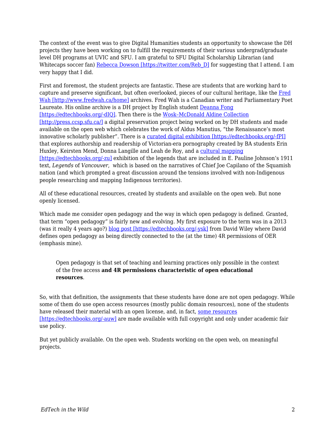The context of the event was to give Digital Humanities students an opportunity to showcase the DH projects they have been working on to fulfill the requirements of their various undergrad/graduate level DH programs at UVIC and SFU. I am grateful to SFU Digital Scholarship Librarian (and Whitecaps soccer fan) [Rebecca Dowson \[https://twitter.com/Reb\\_D\]](https://twitter.com/Reb_D) for suggesting that I attend. I am very happy that I did.

First and foremost, the student projects are fantastic. These are students that are working hard to capture and preserve significant, but often overlooked, pieces of our cultural heritage, like the [Fred](http://www.fredwah.ca/home) [Wah \[http://www.fredwah.ca/home\]](http://www.fredwah.ca/home) archives. Fred Wah is a Canadian writer and Parliamentary Poet Laureate. His online archive is a DH project by English student [Deanna Fong](https://twitter.com/bilycutfong) [\[https://edtechbooks.org/-dIQ\]](https://twitter.com/bilycutfong). Then there is the [Wosk–McDonald Aldine Collection](http://press.ccsp.sfu.ca/) [\[http://press.ccsp.sfu.ca/\]](http://press.ccsp.sfu.ca/) a digital preservation project being worked on by DH students and made available on the open web which celebrates the work of Aldus Manutius, "the Renaissance's most innovative scholarly publisher". There is a [curated digital exhibition \[https://edtechbooks.org/-fPI\]](https://victorianauthorshipandreadership.wordpress.com/) that explores authorship and readership of Victorian-era pornography created by BA students Erin Huxley, Keirsten Mend, Donna Langille and Leah de Roy, and a [cultural mapping](http://simonfraseru.maps.arcgis.com/apps/MapJournal/index.html?appid=df23c82c36eb489d83e3c086264e1668) [\[https://edtechbooks.org/-zu\]](http://simonfraseru.maps.arcgis.com/apps/MapJournal/index.html?appid=df23c82c36eb489d83e3c086264e1668) exhibition of the legends that are included in E. Pauline Johnson's 1911 text, *Legends* of *Vancouver*, which is based on the narratives of Chief Joe Capilano of the Squamish nation (and which prompted a great discussion around the tensions involved with non-Indigenous people researching and mapping Indigenous territories).

All of these educational resources, created by students and available on the open web. But none openly licensed.

Which made me consider open pedagogy and the way in which open pedagogy is defined. Granted, that term "open pedagogy" is fairly new and evolving. My first exposure to the term was in a 2013 (was it really 4 years ago?) [blog post \[https://edtechbooks.org/-ysk\]](https://opencontent.org/blog/archives/2975) from David Wiley where David defines open pedagogy as being directly connected to the (at the time) 4R permissions of OER (emphasis mine).

Open pedagogy is that set of teaching and learning practices only possible in the context of the free access **and 4R permissions characteristic of open educational resources**.

So, with that definition, the assignments that these students have done are not open pedagogy. While some of them do use open access resources (mostly public domain resources), none of the students have released their material with an open license, and, in fact, [some resources](http://www.fredwah.ca/content/acknowledgements) [\[https://edtechbooks.org/-auw\]](http://www.fredwah.ca/content/acknowledgements) are made available with full copyright and only under academic fair use policy.

But yet publicly available. On the open web. Students working on the open web, on meaningful projects.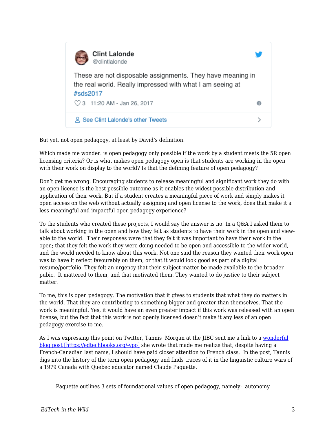

But yet, not open pedagogy, at least by David's definition.

Which made me wonder: is open pedagogy only possible if the work by a student meets the 5R open licensing criteria? Or is what makes open pedagogy open is that students are working in the open with their work on display to the world? Is that the defining feature of open pedagogy?

Don't get me wrong. Encouraging students to release meaningful and significant work they do with an open license is the best possible outcome as it enables the widest possible distribution and application of their work. But if a student creates a meaningful piece of work and simply makes it open access on the web without actually assigning and open license to the work, does that make it a less meaningful and impactful open pedagogy experience?

To the students who created these projects, I would say the answer is no. In a Q&A I asked them to talk about working in the open and how they felt as students to have their work in the open and viewable to the world. Their responses were that they felt it was important to have their work in the open; that they felt the work they were doing needed to be open and accessible to the wider world, and the world needed to know about this work. Not one said the reason they wanted their work open was to have it reflect favourably on them, or that it would look good as part of a digital resume/portfolio. They felt an urgency that their subject matter be made available to the broader pubic. It mattered to them, and that motivated them. They wanted to do justice to their subject matter.

To me, this is open pedagogy. The motivation that it gives to students that what they do matters in the world. That they are contributing to something bigger and greater than themselves. That the work is meaningful. Yes, it would have an even greater impact if this work was released with an open license, but the fact that this work is not openly licensed doesn't make it any less of an open pedagogy exercise to me.

As I was expressing this point on Twitter, Tannis Morgan at the JIBC sent me a link to a [wonderful](https://homonym.ca/uncategorized/open-pedagogy-and-a-very-brief-history-of-the-concept/) [blog post \[https://edtechbooks.org/-vpo\]](https://homonym.ca/uncategorized/open-pedagogy-and-a-very-brief-history-of-the-concept/) she wrote that made me realize that, despite having a French-Canadian last name, I should have paid closer attention to French class. In the post, Tannis digs into the history of the term open pedagogy and finds traces of it in the linguistic culture wars of a 1979 Canada with Quebec educator named Claude Paquette.

Paquette outlines 3 sets of foundational values of open pedagogy, namely: autonomy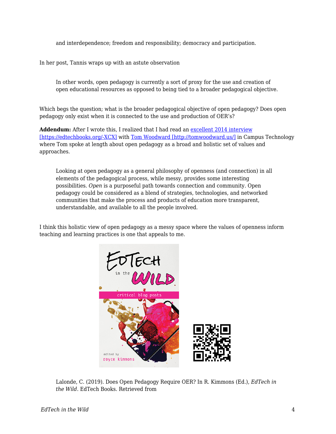and interdependence; freedom and responsibility; democracy and participation.

In her post, Tannis wraps up with an astute observation

In other words, open pedagogy is currently a sort of proxy for the use and creation of open educational resources as opposed to being tied to a broader pedagogical objective.

Which begs the question; what is the broader pedagogical objective of open pedagogy? Does open pedagogy only exist when it is connected to the use and production of OER's?

**Addendum:** After I wrote this, I realized that I had read an [excellent 2014 interview](https://campustechnology.com/Articles/2014/11/12/Open-Pedagogy-Connection-Community-and-Transparency.aspx?Page=1) [\[https://edtechbooks.org/-XCX\]](https://campustechnology.com/Articles/2014/11/12/Open-Pedagogy-Connection-Community-and-Transparency.aspx?Page=1) with [Tom Woodward \[http://tomwoodward.us/\]](http://tomwoodward.us/) in Campus Technology where Tom spoke at length about open pedagogy as a broad and holistic set of values and approaches.

Looking at open pedagogy as a general philosophy of openness (and connection) in all elements of the pedagogical process, while messy, provides some interesting possibilities. *Open* is a purposeful path towards connection and community. Open pedagogy could be considered as a blend of strategies, technologies, and networked communities that make the process and products of education more transparent, understandable, and available to all the people involved.

I think this holistic view of open pedagogy as a messy space where the values of openness inform teaching and learning practices is one that appeals to me.



Lalonde, C. (2019). Does Open Pedagogy Require OER? In R. Kimmons (Ed.), *EdTech in the Wild*. EdTech Books. Retrieved from